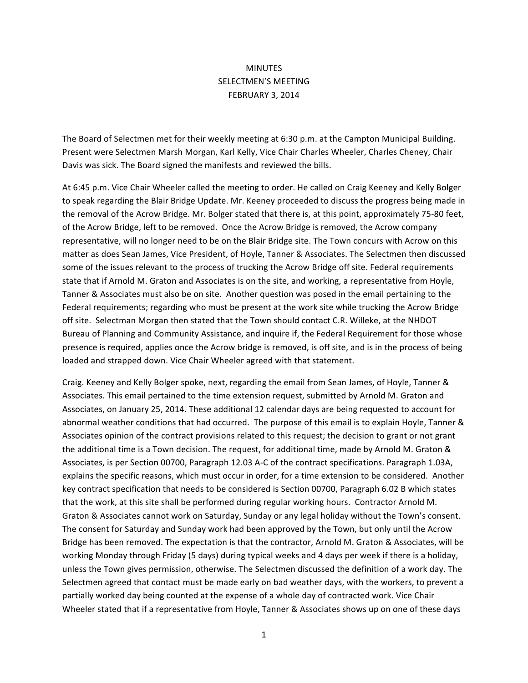## **MINUTES** SELECTMEN'S MEETING FEBRUARY 3, 2014

The Board of Selectmen met for their weekly meeting at 6:30 p.m. at the Campton Municipal Building. Present were Selectmen Marsh Morgan, Karl Kelly, Vice Chair Charles Wheeler, Charles Cheney, Chair Davis was sick. The Board signed the manifests and reviewed the bills.

At 6:45 p.m. Vice Chair Wheeler called the meeting to order. He called on Craig Keeney and Kelly Bolger to speak regarding the Blair Bridge Update. Mr. Keeney proceeded to discuss the progress being made in the removal of the Acrow Bridge. Mr. Bolger stated that there is, at this point, approximately 75-80 feet, of the Acrow Bridge, left to be removed. Once the Acrow Bridge is removed, the Acrow company representative, will no longer need to be on the Blair Bridge site. The Town concurs with Acrow on this matter as does Sean James, Vice President, of Hoyle, Tanner & Associates. The Selectmen then discussed some of the issues relevant to the process of trucking the Acrow Bridge off site. Federal requirements state that if Arnold M. Graton and Associates is on the site, and working, a representative from Hoyle, Tanner & Associates must also be on site. Another question was posed in the email pertaining to the Federal requirements; regarding who must be present at the work site while trucking the Acrow Bridge off site. Selectman Morgan then stated that the Town should contact C.R. Willeke, at the NHDOT Bureau of Planning and Community Assistance, and inquire if, the Federal Requirement for those whose presence is required, applies once the Acrow bridge is removed, is off site, and is in the process of being loaded and strapped down. Vice Chair Wheeler agreed with that statement.

Craig. Keeney and Kelly Bolger spoke, next, regarding the email from Sean James, of Hoyle, Tanner & Associates. This email pertained to the time extension request, submitted by Arnold M. Graton and Associates, on January 25, 2014. These additional 12 calendar days are being requested to account for abnormal weather conditions that had occurred. The purpose of this email is to explain Hoyle, Tanner & Associates opinion of the contract provisions related to this request; the decision to grant or not grant the additional time is a Town decision. The request, for additional time, made by Arnold M. Graton & Associates, is per Section 00700, Paragraph 12.03 A-C of the contract specifications. Paragraph 1.03A, explains the specific reasons, which must occur in order, for a time extension to be considered. Another key contract specification that needs to be considered is Section 00700, Paragraph 6.02 B which states that the work, at this site shall be performed during regular working hours. Contractor Arnold M. Graton & Associates cannot work on Saturday, Sunday or any legal holiday without the Town's consent. The consent for Saturday and Sunday work had been approved by the Town, but only until the Acrow Bridge has been removed. The expectation is that the contractor, Arnold M. Graton & Associates, will be working Monday through Friday (5 days) during typical weeks and 4 days per week if there is a holiday, unless the Town gives permission, otherwise. The Selectmen discussed the definition of a work day. The Selectmen agreed that contact must be made early on bad weather days, with the workers, to prevent a partially worked day being counted at the expense of a whole day of contracted work. Vice Chair Wheeler stated that if a representative from Hoyle, Tanner & Associates shows up on one of these days

1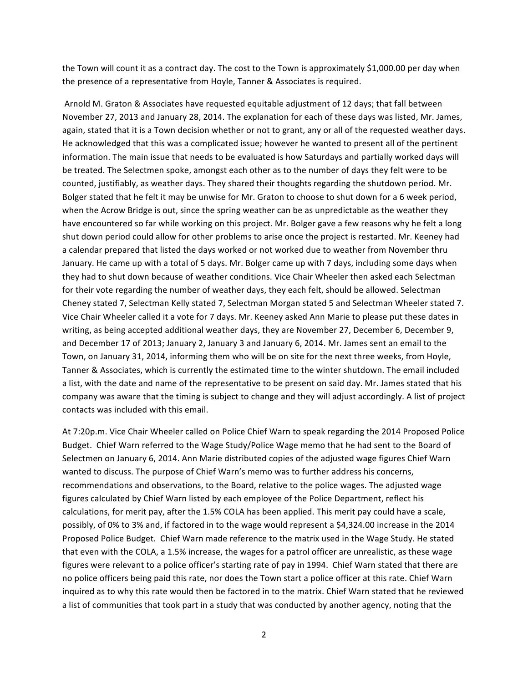the Town will count it as a contract day. The cost to the Town is approximately \$1,000.00 per day when the presence of a representative from Hoyle, Tanner & Associates is required.

Arnold M. Graton & Associates have requested equitable adjustment of 12 days; that fall between November 27, 2013 and January 28, 2014. The explanation for each of these days was listed, Mr. James, again, stated that it is a Town decision whether or not to grant, any or all of the requested weather days. He acknowledged that this was a complicated issue; however he wanted to present all of the pertinent information. The main issue that needs to be evaluated is how Saturdays and partially worked days will be treated. The Selectmen spoke, amongst each other as to the number of days they felt were to be counted, justifiably, as weather days. They shared their thoughts regarding the shutdown period. Mr. Bolger stated that he felt it may be unwise for Mr. Graton to choose to shut down for a 6 week period, when the Acrow Bridge is out, since the spring weather can be as unpredictable as the weather they have encountered so far while working on this project. Mr. Bolger gave a few reasons why he felt a long shut down period could allow for other problems to arise once the project is restarted. Mr. Keeney had a calendar prepared that listed the days worked or not worked due to weather from November thru January. He came up with a total of 5 days. Mr. Bolger came up with 7 days, including some days when they had to shut down because of weather conditions. Vice Chair Wheeler then asked each Selectman for their vote regarding the number of weather days, they each felt, should be allowed. Selectman Cheney stated 7, Selectman Kelly stated 7, Selectman Morgan stated 5 and Selectman Wheeler stated 7. Vice Chair Wheeler called it a vote for 7 days. Mr. Keeney asked Ann Marie to please put these dates in writing, as being accepted additional weather days, they are November 27, December 6, December 9, and December 17 of 2013; January 2, January 3 and January 6, 2014. Mr. James sent an email to the Town, on January 31, 2014, informing them who will be on site for the next three weeks, from Hoyle, Tanner & Associates, which is currently the estimated time to the winter shutdown. The email included a list, with the date and name of the representative to be present on said day. Mr. James stated that his company was aware that the timing is subject to change and they will adjust accordingly. A list of project contacts was included with this email.

At 7:20p.m. Vice Chair Wheeler called on Police Chief Warn to speak regarding the 2014 Proposed Police Budget. Chief Warn referred to the Wage Study/Police Wage memo that he had sent to the Board of Selectmen on January 6, 2014. Ann Marie distributed copies of the adjusted wage figures Chief Warn wanted to discuss. The purpose of Chief Warn's memo was to further address his concerns, recommendations and observations, to the Board, relative to the police wages. The adjusted wage figures calculated by Chief Warn listed by each employee of the Police Department, reflect his calculations, for merit pay, after the 1.5% COLA has been applied. This merit pay could have a scale, possibly, of 0% to 3% and, if factored in to the wage would represent a \$4,324.00 increase in the 2014 Proposed Police Budget. Chief Warn made reference to the matrix used in the Wage Study. He stated that even with the COLA, a 1.5% increase, the wages for a patrol officer are unrealistic, as these wage figures were relevant to a police officer's starting rate of pay in 1994. Chief Warn stated that there are no police officers being paid this rate, nor does the Town start a police officer at this rate. Chief Warn inquired as to why this rate would then be factored in to the matrix. Chief Warn stated that he reviewed a list of communities that took part in a study that was conducted by another agency, noting that the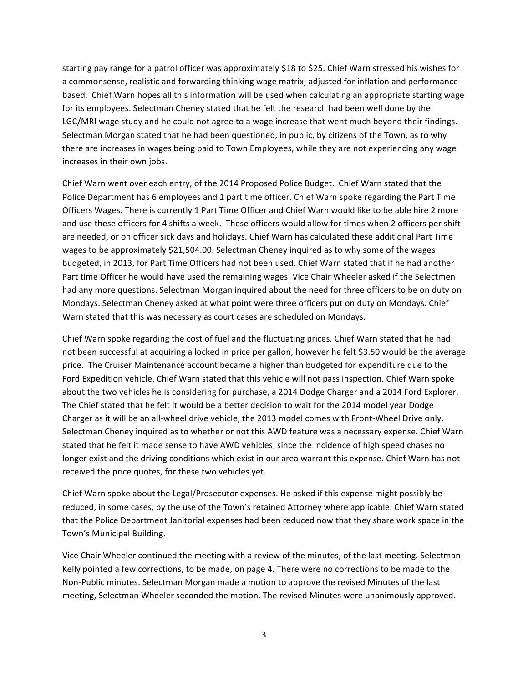starting pay range for a patrol officer was approximately \$18 to \$25. Chief Warn stressed his wishes for a commonsense, realistic and forwarding thinking wage matrix; adjusted for inflation and performance based. Chief Warn hopes all this information will be used when calculating an appropriate starting wage for its employees. Selectman Cheney stated that he felt the research had been well done by the LGC/MRI wage study and he could not agree to a wage increase that went much beyond their findings. Selectman Morgan stated that he had been questioned, in public, by citizens of the Town, as to why there are increases in wages being paid to Town Employees, while they are not experiencing any wage increases in their own jobs.

Chief Warn went over each entry, of the 2014 Proposed Police Budget. Chief Warn stated that the Police Department has 6 employees and 1 part time officer. Chief Warn spoke regarding the Part Time Officers Wages. There is currently 1 Part Time Officer and Chief Warn would like to be able hire 2 more and use these officers for 4 shifts a week. These officers would allow for times when 2 officers per shift are needed, or on officer sick days and holidays. Chief Warn has calculated these additional Part Time wages to be approximately \$21,504.00. Selectman Cheney inquired as to why some of the wages budgeted, in 2013, for Part Time Officers had not been used. Chief Warn stated that if he had another Part time Officer he would have used the remaining wages. Vice Chair Wheeler asked if the Selectmen had any more questions. Selectman Morgan inquired about the need for three officers to be on duty on Mondays. Selectman Cheney asked at what point were three officers put on duty on Mondays. Chief Warn stated that this was necessary as court cases are scheduled on Mondays.

Chief Warn spoke regarding the cost of fuel and the fluctuating prices. Chief Warn stated that he had not been successful at acquiring a locked in price per gallon, however he felt \$3.50 would be the average price. The Cruiser Maintenance account became a higher than budgeted for expenditure due to the Ford Expedition vehicle. Chief Warn stated that this vehicle will not pass inspection. Chief Warn spoke about the two vehicles he is considering for purchase, a 2014 Dodge Charger and a 2014 Ford Explorer. The Chief stated that he felt it would be a better decision to wait for the 2014 model year Dodge Charger as it will be an all-wheel drive vehicle, the 2013 model comes with Front-Wheel Drive only. Selectman Cheney inquired as to whether or not this AWD feature was a necessary expense. Chief Warn stated that he felt it made sense to have AWD vehicles, since the incidence of high speed chases no longer exist and the driving conditions which exist in our area warrant this expense. Chief Warn has not received the price quotes, for these two vehicles yet.

Chief Warn spoke about the Legal/Prosecutor expenses. He asked if this expense might possibly be reduced, in some cases, by the use of the Town's retained Attorney where applicable. Chief Warn stated that the Police Department Janitorial expenses had been reduced now that they share work space in the Town's Municipal Building.

Vice Chair Wheeler continued the meeting with a review of the minutes, of the last meeting. Selectman Kelly pointed a few corrections, to be made, on page 4. There were no corrections to be made to the Non-Public minutes. Selectman Morgan made a motion to approve the revised Minutes of the last meeting, Selectman Wheeler seconded the motion. The revised Minutes were unanimously approved.